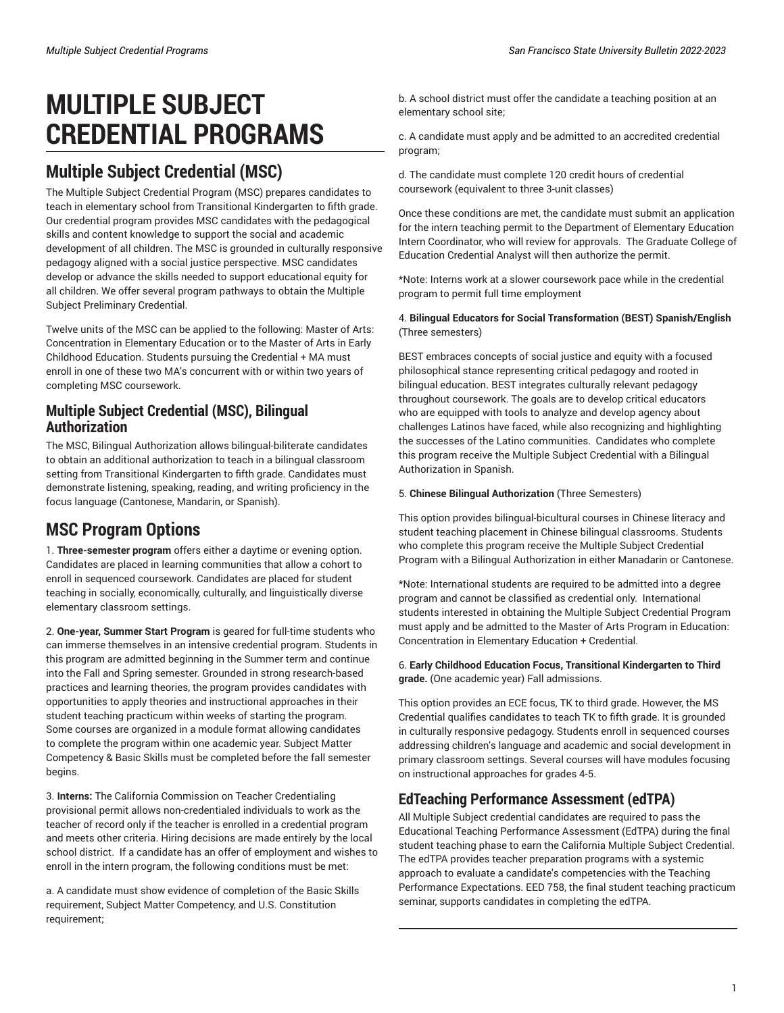# **MULTIPLE SUBJECT CREDENTIAL PROGRAMS**

# **Multiple Subject Credential (MSC)**

The Multiple Subject Credential Program (MSC) prepares candidates to teach in elementary school from Transitional Kindergarten to fifth grade. Our credential program provides MSC candidates with the pedagogical skills and content knowledge to support the social and academic development of all children. The MSC is grounded in culturally responsive pedagogy aligned with a social justice perspective. MSC candidates develop or advance the skills needed to support educational equity for all children. We offer several program pathways to obtain the Multiple Subject Preliminary Credential.

Twelve units of the MSC can be applied to the following: Master of Arts: Concentration in Elementary Education or to the Master of Arts in Early Childhood Education. Students pursuing the Credential + MA must enroll in one of these two MA's concurrent with or within two years of completing MSC coursework.

### **Multiple Subject Credential (MSC), Bilingual Authorization**

The MSC, Bilingual Authorization allows bilingual-biliterate candidates to obtain an additional authorization to teach in a bilingual classroom setting from Transitional Kindergarten to fifth grade. Candidates must demonstrate listening, speaking, reading, and writing proficiency in the focus language (Cantonese, Mandarin, or Spanish).

# **MSC Program Options**

1. **Three-semester program** offers either a daytime or evening option. Candidates are placed in learning communities that allow a cohort to enroll in sequenced coursework. Candidates are placed for student teaching in socially, economically, culturally, and linguistically diverse elementary classroom settings.

2. **One-year, Summer Start Program** is geared for full-time students who can immerse themselves in an intensive credential program. Students in this program are admitted beginning in the Summer term and continue into the Fall and Spring semester. Grounded in strong research-based practices and learning theories, the program provides candidates with opportunities to apply theories and instructional approaches in their student teaching practicum within weeks of starting the program. Some courses are organized in a module format allowing candidates to complete the program within one academic year. Subject Matter Competency & Basic Skills must be completed before the fall semester begins.

3. **Interns:** The California Commission on Teacher Credentialing provisional permit allows non-credentialed individuals to work as the teacher of record only if the teacher is enrolled in a credential program and meets other criteria. Hiring decisions are made entirely by the local school district. If a candidate has an offer of employment and wishes to enroll in the intern program, the following conditions must be met:

a. A candidate must show evidence of completion of the Basic Skills requirement, Subject Matter Competency, and U.S. Constitution requirement;

b. A school district must offer the candidate a teaching position at an elementary school site;

c. A candidate must apply and be admitted to an accredited credential program;

d. The candidate must complete 120 credit hours of credential coursework (equivalent to three 3-unit classes)

Once these conditions are met, the candidate must submit an application for the intern teaching permit to the Department of Elementary Education Intern Coordinator, who will review for approvals. The Graduate College of Education Credential Analyst will then authorize the permit.

\*Note: Interns work at a slower coursework pace while in the credential program to permit full time employment

#### 4. **Bilingual Educators for Social Transformation (BEST) Spanish/English** (Three semesters)

BEST embraces concepts of social justice and equity with a focused philosophical stance representing critical pedagogy and rooted in bilingual education. BEST integrates culturally relevant pedagogy throughout coursework. The goals are to develop critical educators who are equipped with tools to analyze and develop agency about challenges Latinos have faced, while also recognizing and highlighting the successes of the Latino communities. Candidates who complete this program receive the Multiple Subject Credential with a Bilingual Authorization in Spanish.

#### 5. **Chinese Bilingual Authorization** (Three Semesters)

This option provides bilingual-bicultural courses in Chinese literacy and student teaching placement in Chinese bilingual classrooms. Students who complete this program receive the Multiple Subject Credential Program with a Bilingual Authorization in either Manadarin or Cantonese.

\*Note: International students are required to be admitted into a degree program and cannot be classified as credential only. International students interested in obtaining the Multiple Subject Credential Program must apply and be admitted to the Master of Arts Program in Education: Concentration in Elementary Education + Credential.

#### 6. **Early Childhood Education Focus, Transitional Kindergarten to Third grade.** (One academic year) Fall admissions.

This option provides an ECE focus, TK to third grade. However, the MS Credential qualifies candidates to teach TK to fifth grade. It is grounded in culturally responsive pedagogy. Students enroll in sequenced courses addressing children's language and academic and social development in primary classroom settings. Several courses will have modules focusing on instructional approaches for grades 4-5.

### **EdTeaching Performance Assessment (edTPA)**

All Multiple Subject credential candidates are required to pass the Educational Teaching Performance Assessment (EdTPA) during the final student teaching phase to earn the California Multiple Subject Credential. The edTPA provides teacher preparation programs with a systemic approach to evaluate a candidate's competencies with the Teaching Performance Expectations. EED 758, the final student teaching practicum seminar, supports candidates in completing the edTPA.